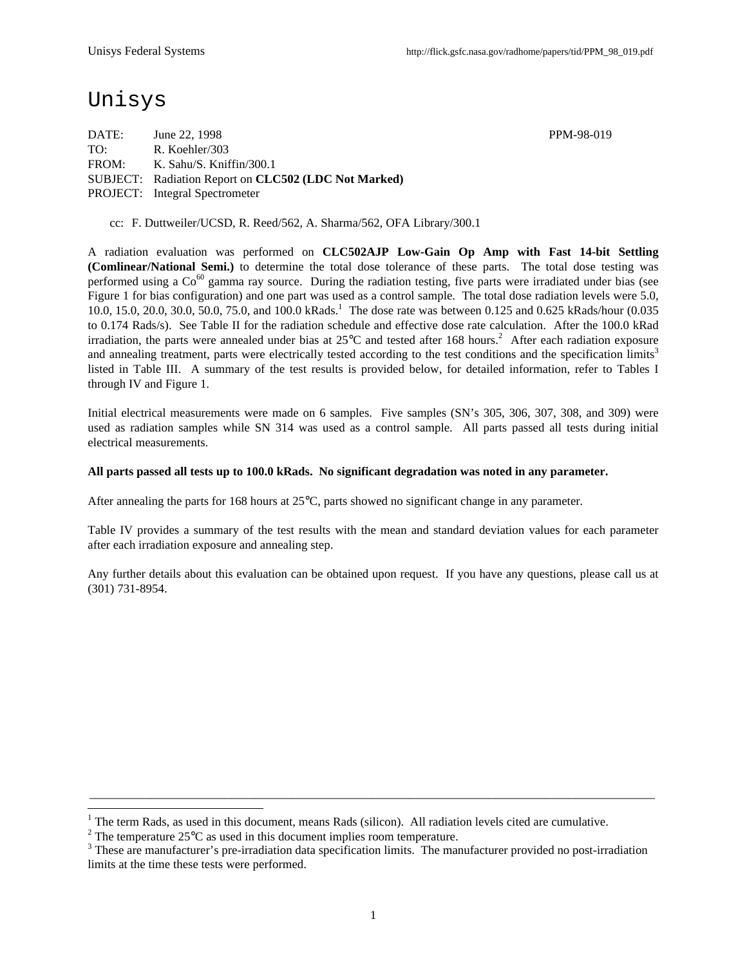# Unisys

 $\overline{a}$ 

DATE: June 22, 1998 PPM-98-019 TO: R. Koehler/303 FROM: K. Sahu/S. Kniffin/300.1 SUBJECT: Radiation Report on **CLC502 (LDC Not Marked)** PROJECT: Integral Spectrometer

cc: F. Duttweiler/UCSD, R. Reed/562, A. Sharma/562, OFA Library/300.1

A radiation evaluation was performed on **CLC502AJP Low-Gain Op Amp with Fast 14-bit Settling (Comlinear/National Semi.)** to determine the total dose tolerance of these parts. The total dose testing was performed using a  $Co^{60}$  gamma ray source. During the radiation testing, five parts were irradiated under bias (see Figure 1 for bias configuration) and one part was used as a control sample. The total dose radiation levels were 5.0, 10.0, 15.0, 20.0, 30.0, 50.0, 75.0, and 100.0 kRads.<sup>1</sup> The dose rate was between 0.125 and 0.625 kRads/hour (0.035 to 0.174 Rads/s). See Table II for the radiation schedule and effective dose rate calculation. After the 100.0 kRad irradiation, the parts were annealed under bias at  $25^{\circ}$ C and tested after 168 hours.<sup>2</sup> After each radiation exposure and annealing treatment, parts were electrically tested according to the test conditions and the specification limits<sup>3</sup> listed in Table III. A summary of the test results is provided below, for detailed information, refer to Tables I through IV and Figure 1.

Initial electrical measurements were made on 6 samples. Five samples (SN's 305, 306, 307, 308, and 309) were used as radiation samples while SN 314 was used as a control sample. All parts passed all tests during initial electrical measurements.

#### **All parts passed all tests up to 100.0 kRads. No significant degradation was noted in any parameter.**

After annealing the parts for 168 hours at 25°C, parts showed no significant change in any parameter.

Table IV provides a summary of the test results with the mean and standard deviation values for each parameter after each irradiation exposure and annealing step.

Any further details about this evaluation can be obtained upon request. If you have any questions, please call us at (301) 731-8954.

\_\_\_\_\_\_\_\_\_\_\_\_\_\_\_\_\_\_\_\_\_\_\_\_\_\_\_\_\_\_\_\_\_\_\_\_\_\_\_\_\_\_\_\_\_\_\_\_\_\_\_\_\_\_\_\_\_\_\_\_\_\_\_\_\_\_\_\_\_\_\_\_\_\_\_\_\_\_\_\_\_\_\_\_\_\_\_\_\_\_\_\_

<sup>1</sup> The term Rads, as used in this document, means Rads (silicon). All radiation levels cited are cumulative.

<sup>&</sup>lt;sup>2</sup> The temperature 25 $\rm{°C}$  as used in this document implies room temperature.

 $3$  These are manufacturer's pre-irradiation data specification limits. The manufacturer provided no post-irradiation limits at the time these tests were performed.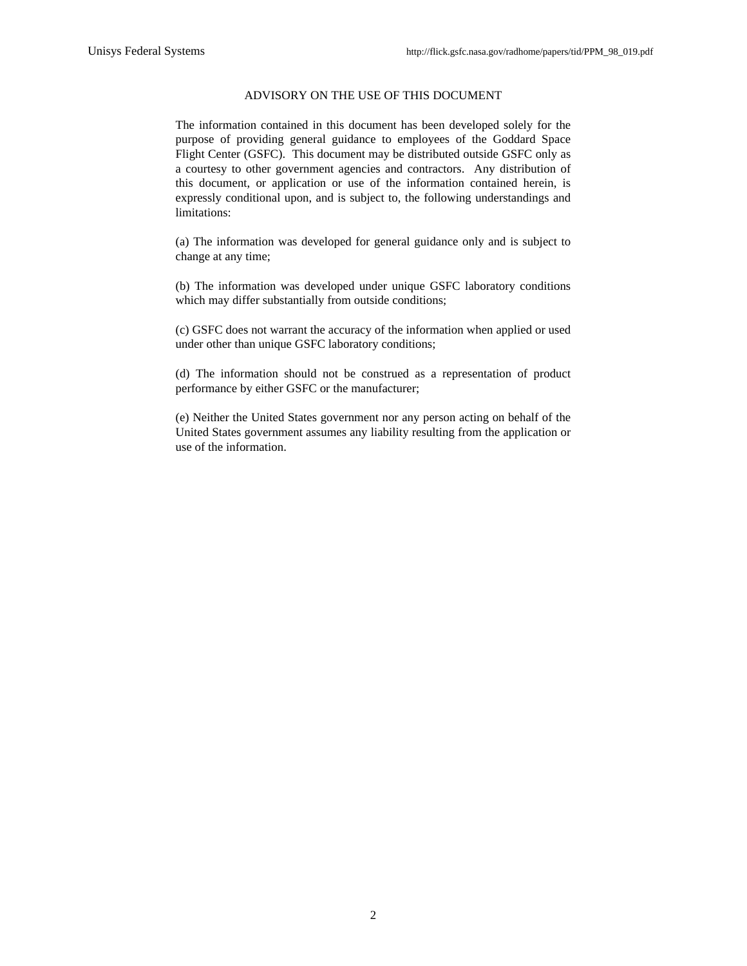#### ADVISORY ON THE USE OF THIS DOCUMENT

The information contained in this document has been developed solely for the purpose of providing general guidance to employees of the Goddard Space Flight Center (GSFC). This document may be distributed outside GSFC only as a courtesy to other government agencies and contractors. Any distribution of this document, or application or use of the information contained herein, is expressly conditional upon, and is subject to, the following understandings and limitations:

(a) The information was developed for general guidance only and is subject to change at any time;

(b) The information was developed under unique GSFC laboratory conditions which may differ substantially from outside conditions;

(c) GSFC does not warrant the accuracy of the information when applied or used under other than unique GSFC laboratory conditions;

(d) The information should not be construed as a representation of product performance by either GSFC or the manufacturer;

(e) Neither the United States government nor any person acting on behalf of the United States government assumes any liability resulting from the application or use of the information.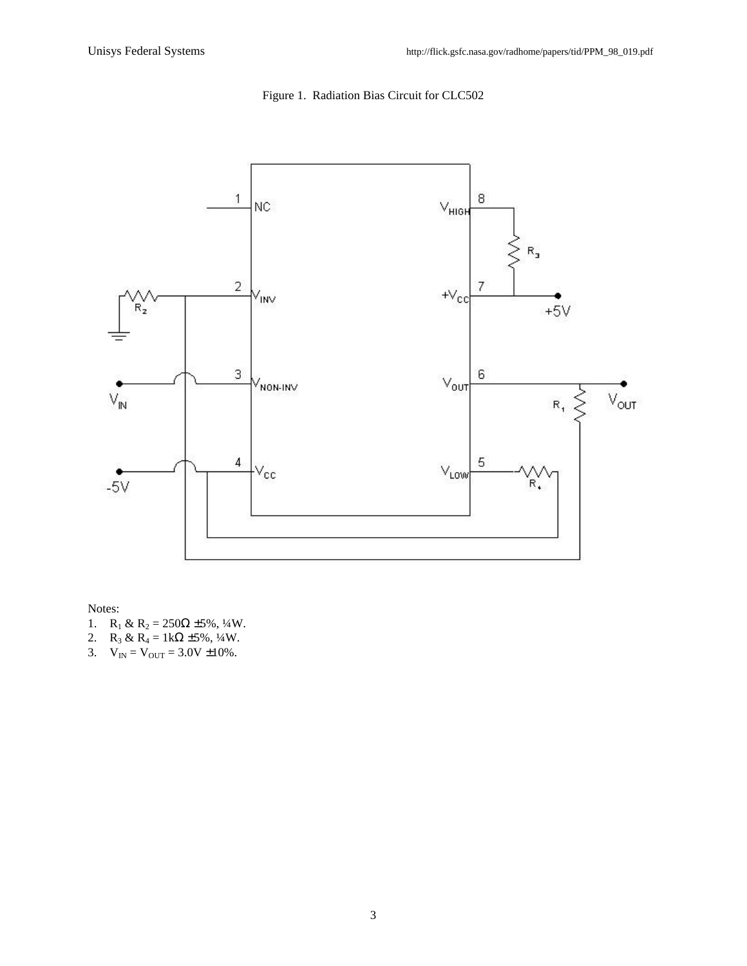



Notes:

- 1. R<sub>1</sub> & R<sub>2</sub> = 250 $\Omega$  ±5%, 1/4W.
- 2. R<sub>3</sub> & R<sub>4</sub> = 1kΩ ±5%, 1/4W.
- 3.  $V_{IN} = V_{OUT} = 3.0V \pm 10\%$ .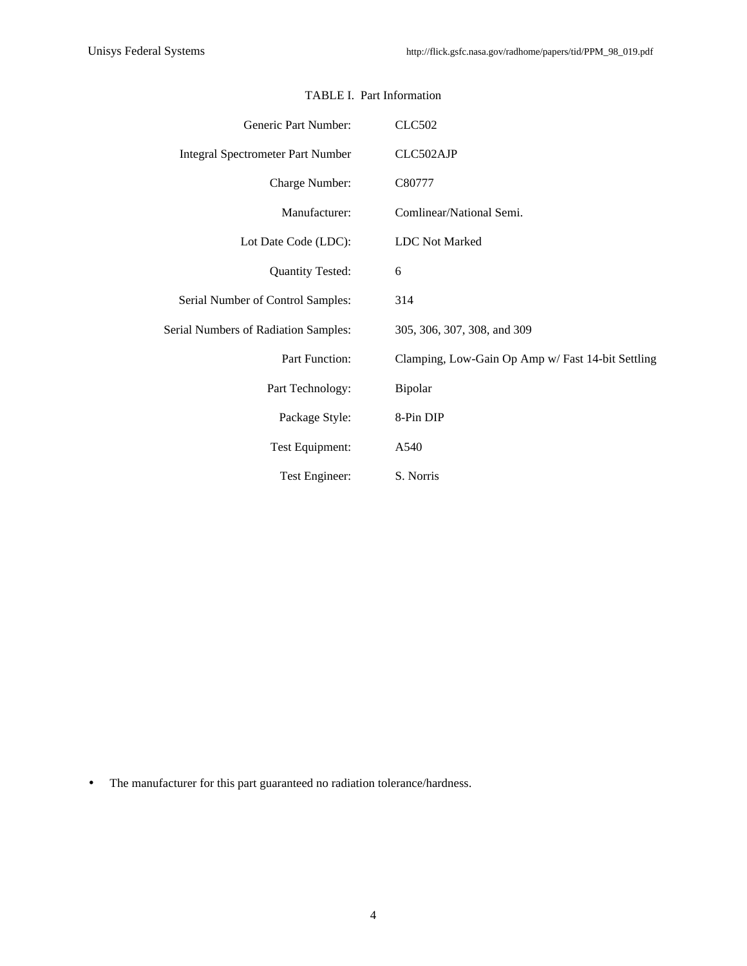| Generic Part Number:                     | <b>CLC502</b>                                     |
|------------------------------------------|---------------------------------------------------|
| <b>Integral Spectrometer Part Number</b> | CLC502AJP                                         |
| Charge Number:                           | C80777                                            |
| Manufacturer:                            | Comlinear/National Semi.                          |
| Lot Date Code (LDC):                     | <b>LDC</b> Not Marked                             |
| <b>Quantity Tested:</b>                  | 6                                                 |
| Serial Number of Control Samples:        | 314                                               |
| Serial Numbers of Radiation Samples:     | 305, 306, 307, 308, and 309                       |
| Part Function:                           | Clamping, Low-Gain Op Amp w/ Fast 14-bit Settling |
| Part Technology:                         | Bipolar                                           |
| Package Style:                           | 8-Pin DIP                                         |
| Test Equipment:                          | A540                                              |
| Test Engineer:                           | S. Norris                                         |

## TABLE I. Part Information

• The manufacturer for this part guaranteed no radiation tolerance/hardness.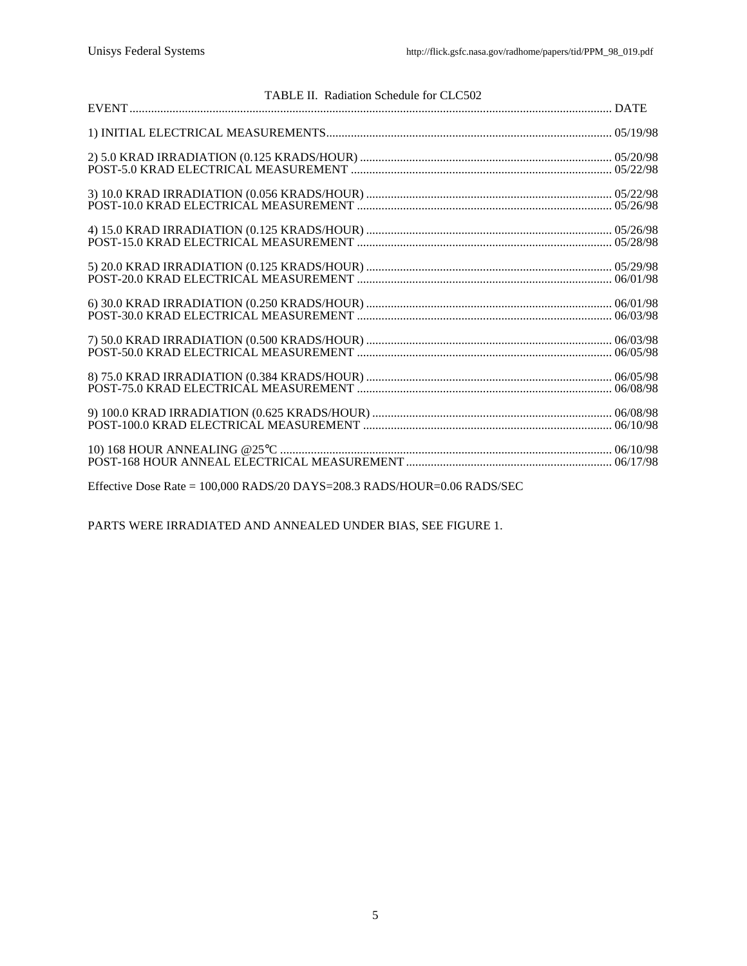| TABLE II. Radiation Schedule for CLC502 |  |
|-----------------------------------------|--|
|                                         |  |
|                                         |  |
|                                         |  |
|                                         |  |
|                                         |  |
|                                         |  |
|                                         |  |
|                                         |  |
|                                         |  |
|                                         |  |

Effective Dose Rate = 100,000 RADS/20 DAYS=208.3 RADS/HOUR=0.06 RADS/SEC

PARTS WERE IRRADIATED AND ANNEALED UNDER BIAS, SEE FIGURE 1.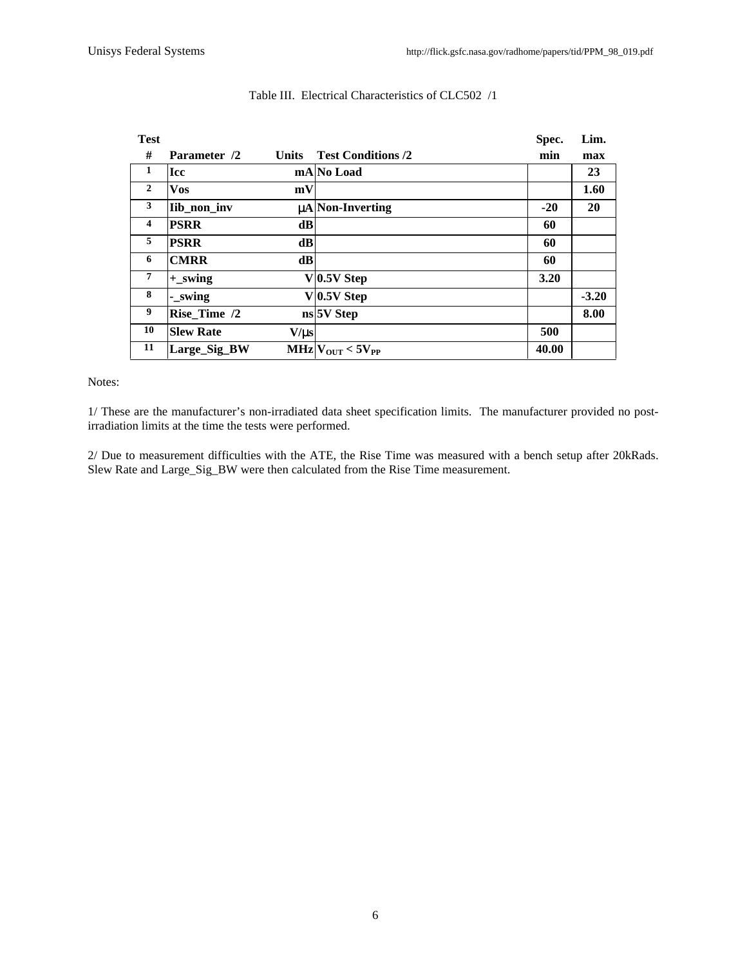| <b>Test</b>             |                  |              |                             | Spec. | Lim.    |
|-------------------------|------------------|--------------|-----------------------------|-------|---------|
| #                       | Parameter /2     | <b>Units</b> | <b>Test Conditions /2</b>   | min   | max     |
| 1                       | <b>Icc</b>       |              | mA No Load                  |       | 23      |
| $\overline{2}$          | Vos              | mV           |                             |       | 1.60    |
| 3                       | Iib_non_inv      |              | $\mu$ A Non-Inverting       | $-20$ | 20      |
| $\overline{\mathbf{4}}$ | <b>PSRR</b>      | dB           |                             | 60    |         |
| 5                       | <b>PSRR</b>      | dB           |                             | 60    |         |
| 6                       | <b>CMRR</b>      | dB           |                             | 60    |         |
| $\overline{7}$          | $+$ _swing       |              | $V$ 0.5V Step               | 3.20  |         |
| 8                       | - swing          |              | $V$ 0.5V Step               |       | $-3.20$ |
| 9                       | Rise Time /2     |              | ns 5V Step                  |       | 8.00    |
| 10                      | <b>Slew Rate</b> | $V/\mu s$    |                             | 500   |         |
| 11                      | Large_Sig_BW     |              | $MHz$ $V_{OUT}$ < $5V_{PP}$ | 40.00 |         |
|                         |                  |              |                             |       |         |

## Table III. Electrical Characteristics of CLC502 /1

### Notes:

1/ These are the manufacturer's non-irradiated data sheet specification limits. The manufacturer provided no postirradiation limits at the time the tests were performed.

2/ Due to measurement difficulties with the ATE, the Rise Time was measured with a bench setup after 20kRads. Slew Rate and Large\_Sig\_BW were then calculated from the Rise Time measurement.